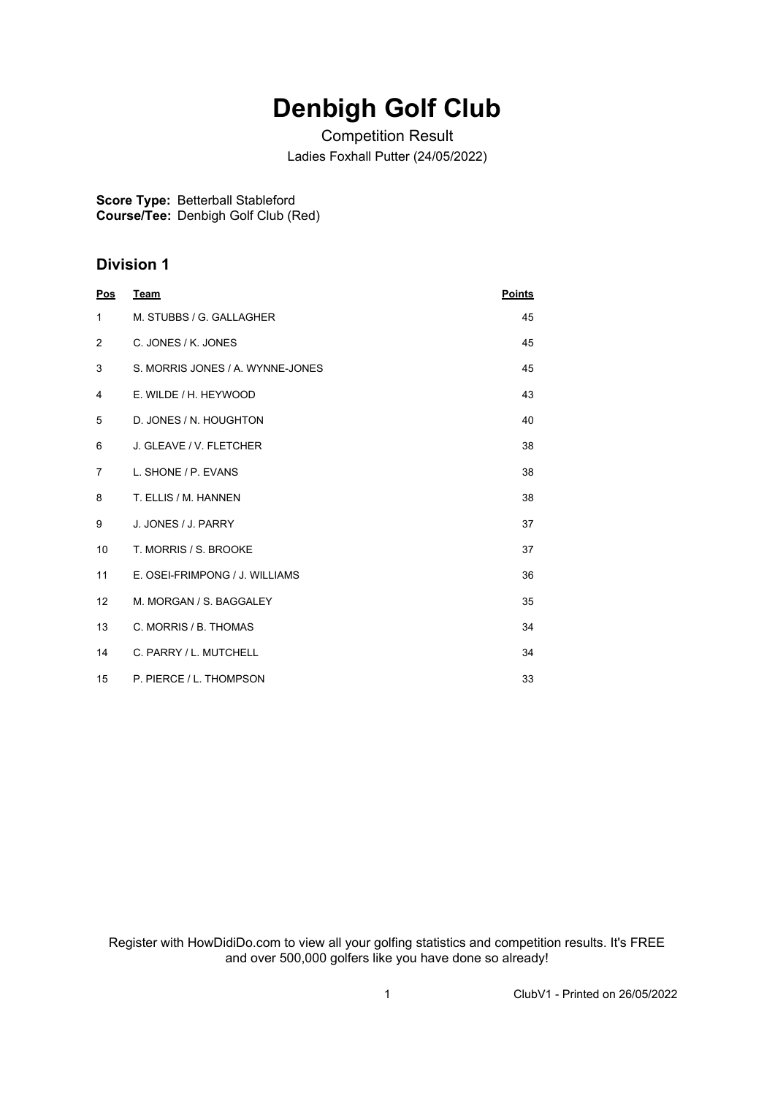## **Denbigh Golf Club**

Competition Result Ladies Foxhall Putter (24/05/2022)

**Score Type:** Betterball Stableford **Course/Tee:** Denbigh Golf Club (Red)

## **Division 1**

| Pos            | <b>Team</b>                      | <b>Points</b> |
|----------------|----------------------------------|---------------|
| $\mathbf{1}$   | M. STUBBS / G. GALLAGHER         | 45            |
| $\overline{2}$ | C. JONES / K. JONES              | 45            |
| 3              | S. MORRIS JONES / A. WYNNE-JONES | 45            |
| 4              | E. WILDE / H. HEYWOOD            | 43            |
| 5              | D. JONES / N. HOUGHTON           | 40            |
| 6              | J. GLEAVE / V. FLETCHER          | 38            |
| 7              | L. SHONE / P. EVANS              | 38            |
| 8              | T. ELLIS / M. HANNEN             | 38            |
| 9              | J. JONES / J. PARRY              | 37            |
| 10             | T. MORRIS / S. BROOKE            | 37            |
| 11             | E. OSEI-FRIMPONG / J. WILLIAMS   | 36            |
| 12             | M. MORGAN / S. BAGGALEY          | 35            |
| 13             | C. MORRIS / B. THOMAS            | 34            |
| 14             | C. PARRY / L. MUTCHELL           | 34            |
| 15             | P. PIERCE / L. THOMPSON          | 33            |

Register with HowDidiDo.com to view all your golfing statistics and competition results. It's FREE and over 500,000 golfers like you have done so already!